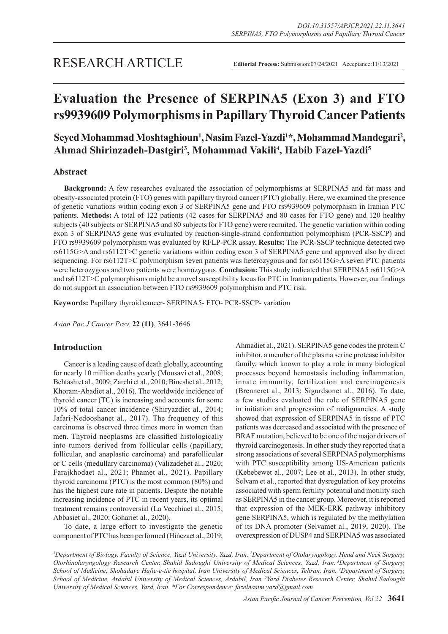# **Evaluation the Presence of SERPINA5 (Exon 3) and FTO rs9939609 Polymorphisms in Papillary Thyroid Cancer Patients**

# Seyed Mohammad Moshtaghioun<sup>1</sup>, Nasim Fazel-Yazdi<sup>1\*</sup>, Mohammad Mandegari<sup>2</sup>, **Ahmad Shirinzadeh-Dastgiri3 , Mohammad Vakili4 , Habib Fazel-Yazdi5**

# **Abstract**

**Background:** A few researches evaluated the association of polymorphisms at SERPINA5 and fat mass and obesity-associated protein (FTO) genes with papillary thyroid cancer (PTC) globally. Here, we examined the presence of genetic variations within coding exon 3 of SERPINA5 gene and FTO rs9939609 polymorphism in Iranian PTC patients. **Methods:** A total of 122 patients (42 cases for SERPINA5 and 80 cases for FTO gene) and 120 healthy subjects (40 subjects or SERPINA5 and 80 subjects for FTO gene) were recruited. The genetic variation within coding exon 3 of SERPINA5 gene was evaluated by reaction-single-strand conformation polymorphism (PCR-SSCP) and FTO rs9939609 polymorphism was evaluated by RFLP-PCR assay. **Results:** The PCR-SSCP technique detected two rs6115G>A and rs6112T>C genetic variations within coding exon 3 of SERPINA5 gene and approved also by direct sequencing. For rs6112T>C polymorphism seven patients was heterozygous and for rs6115G>A seven PTC patients were heterozygous and two patients were homozygous. **Conclusion:** This study indicated that SERPINA5 rs6115G>A and rs6112T>C polymorphisms might be a novel susceptibility locus for PTC in Iranian patients. However, our findings do not support an association between FTO rs9939609 polymorphism and PTC risk.

**Keywords:** Papillary thyroid cancer- SERPINA5- FTO- PCR-SSCP- variation

*Asian Pac J Cancer Prev,* **22 (11)**, 3641-3646

## **Introduction**

Cancer is a leading cause of death globally, accounting for nearly 10 million deaths yearly (Mousavi et al., 2008; Behtash et al., 2009; Zarchi et al., 2010; Bineshet al., 2012; Khoram-Abadiet al., 2016). The worldwide incidence of thyroid cancer (TC) is increasing and accounts for some 10% of total cancer incidence (Shiryazdiet al., 2014; Jafari-Nedooshanet al., 2017). The frequency of this carcinoma is observed three times more in women than men. Thyroid neoplasms are classified histologically into tumors derived from follicular cells (papillary, follicular, and anaplastic carcinoma) and parafollicular or C cells (medullary carcinoma) (Valizadehet al., 2020; Farajkhodaet al., 2021; Phamet al., 2021). Papillary thyroid carcinoma (PTC) is the most common (80%) and has the highest cure rate in patients. Despite the notable increasing incidence of PTC in recent years, its optimal treatment remains controversial (La Vecchiaet al., 2015; Abbasiet al., 2020; Gohariet al., 2020).

To date, a large effort to investigate the genetic component of PTC has been performed (Hińczaet al., 2019;

Ahmadiet al., 2021). SERPINA5 gene codes the protein C inhibitor, a member of the plasma serine protease inhibitor family, which known to play a role in many biological processes beyond hemostasis including inflammation, innate immunity, fertilization and carcinogenesis (Brenneret al., 2013; Sigurdsonet al., 2016). To date, a few studies evaluated the role of SERPINA5 gene in initiation and progression of malignancies. A study showed that expression of SERPINA5 in tissue of PTC patients was decreased and associated with the presence of BRAF mutation, believed to be one of the major drivers of thyroid carcinogenesis. In other study they reported that a strong associations of several SERPINA5 polymorphisms with PTC susceptibility among US-American patients (Kebebewet al., 2007; Lee et al., 2013). In other study, Selvam et al., reported that dysregulation of key proteins associated with sperm fertility potential and motility such as SERPINA5 in the cancer group. Moreover, it is reported that expression of the MEK-ERK pathway inhibitory gene SERPINA5, which is regulated by the methylation of its DNA promoter (Selvamet al., 2019, 2020). The overexpression of DUSP4 and SERPINA5 was associated

<sup>1</sup>Department of Biology, Faculty of Science, Yazd University, Yazd, Iran. <sup>2</sup>Department of Otolaryngology, Head and Neck Surgery, *Otorhinolaryngology Research Center, Shahid Sadoughi University of Medical Sciences, Yazd, Iran. 3Department of Surgery, School of Medicine, Shohadaye Hafte-e-tie hospital, Iran University of Medical Sciences, Tehran, Iran. 4 Department of Surgery, School of Medicine, Ardabil University of Medical Sciences, Ardabil, Iran. 5Yazd Diabetes Research Center, Shahid Sadoughi University of Medical Sciences, Yazd, Iran. \*For Correspondence: fazelnasim.yazd@gmail.com*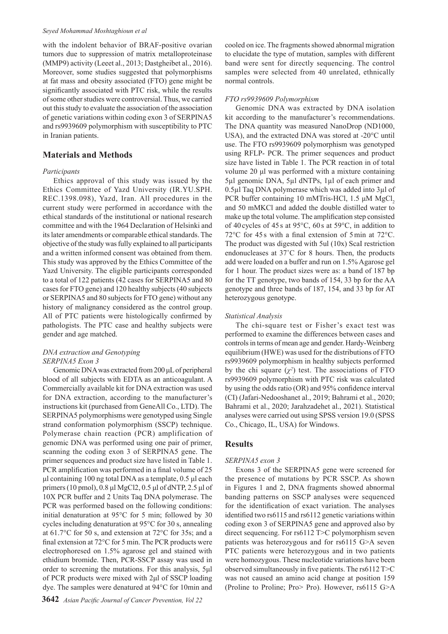#### *Seyed Mohammad Moshtaghioun et al*

with the indolent behavior of BRAF-positive ovarian tumors due to suppression of matrix metalloproteinase (MMP9) activity (Leeet al., 2013; Dastgheibet al., 2016). Moreover, some studies suggested that polymorphisms at fat mass and obesity associated (FTO) gene might be significantly associated with PTC risk, while the results of some other studies were controversial. Thus, we carried out this study to evaluate the association of the association of genetic variations within coding exon 3 of SERPINA5 and rs9939609 polymorphism with susceptibility to PTC in Iranian patients.

# **Materials and Methods**

#### *Participants*

Ethics approval of this study was issued by the Ethics Committee of Yazd University (IR.YU.SPH. REC.1398.098), Yazd, Iran. All procedures in the current study were performed in accordance with the ethical standards of the institutional or national research committee and with the 1964 Declaration of Helsinki and its later amendments or comparable ethical standards. The objective of the study was fully explained to all participants and a written informed consent was obtained from them. This study was approved by the Ethics Committee of the Yazd University. The eligible participants corresponded to a total of 122 patients (42 cases for SERPINA5 and 80 cases for FTO gene) and 120 healthy subjects (40 subjects or SERPINA5 and 80 subjects for FTO gene) without any history of malignancy considered as the control group. All of PTC patients were histologically confirmed by pathologists. The PTC case and healthy subjects were gender and age matched.

#### *DNA extraction and Genotyping SERPINA5 Exon 3*

Genomic DNA was extracted from 200 μL of peripheral blood of all subjects with EDTA as an anticoagulant. A Commercially available kit for DNA extraction was used for DNA extraction, according to the manufacturer's instructions kit (purchased from GeneAll Co., LTD). The SERPINA5 polymorphisms were genotyped using Single strand conformation polymorphism (SSCP) technique. Polymerase chain reaction (PCR) amplification of genomic DNA was performed using one pair of primer, scanning the coding exon 3 of SERPINA5 gene. The primer sequences and product size have listed in Table 1. PCR amplification was performed in a final volume of 25 μl containing 100 ng total DNA as a template, 0.5 μl each primers (10 pmol), 0.8 μl MgCl2, 0.5 μl of dNTP, 2.5 μl of 10X PCR buffer and 2 Units Taq DNA polymerase. The PCR was performed based on the following conditions: initial denaturation at 95°C for 5 min; followed by 30 cycles including denaturation at 95°C for 30 s, annealing at 61.7°C for 50 s, and extension at 72°C for 35s; and a final extension at 72°C for 5 min. The PCR products were electrophoresed on 1.5% agarose gel and stained with ethidium bromide. Then, PCR-SSCP assay was used in order to screening the mutations. For this analysis, 5μl of PCR products were mixed with 2μl of SSCP loading dye. The samples were denatured at 94°C for 10min and

cooled on ice. The fragments showed abnormal migration to elucidate the type of mutation, samples with different band were sent for directly sequencing. The control samples were selected from 40 unrelated, ethnically normal controls.

# *FTO rs9939609 Polymorphism*

Genomic DNA was extracted by DNA isolation kit according to the manufacturer's recommendations. The DNA quantity was measured NanoDrop (ND1000, USA), and the extracted DNA was stored at -20°C until use. The FTO rs9939609 polymorphism was genotyped using RFLP- PCR. The primer sequences and product size have listed in Table 1. The PCR reaction in of total volume 20 μl was performed with a mixture containing 5µl genomic DNA, 5µl dNTPs, 1µl of each primer and 0.5µl Taq DNA polymerase which was added into 3µl of PCR buffer containing 10 mMTris-HCl, 1.5 μM MgCl, and 50 mMKCl and added the double distilled water to make up the total volume. The amplification step consisted of 40cycles of 45s at 95°C, 60s at 59°C, in addition to 72°C for 45 s with a final extension of 5min at 72°C. The product was digested with 5ul (10x) ScaI restriction endonucleases at 37˚C for 8 hours. Then, the products add were loaded on a buffer and run on 1.5% Agarose gel for 1 hour. The product sizes were as: a band of 187 bp for the TT genotype, two bands of 154, 33 bp for the AA genotype and three bands of 187, 154, and 33 bp for AT heterozygous genotype.

#### *Statistical Analysis*

The chi-square test or Fisher's exact test was performed to examine the differences between cases and controls in terms of mean age and gender. Hardy-Weinberg equilibrium (HWE) was used for the distributions of FTO rs9939609 polymorphism in healthy subjects performed by the chi square  $(\chi^2)$  test. The associations of FTO rs9939609 polymorphism with PTC risk was calculated by using the odds ratio (OR) and 95% confidence interval (CI) (Jafari-Nedooshanet al., 2019; Bahrami et al., 2020; Bahrami et al., 2020; Jarahzadehet al., 2021). Statistical analyses were carried out using SPSS version 19.0 (SPSS Co., Chicago, IL, USA) for Windows.

# **Results**

#### *SERPINA5 exon 3*

Exons 3 of the SERPINA5 gene were screened for the presence of mutations by PCR SSCP. As shown in Figures 1 and 2, DNA fragments showed abnormal banding patterns on SSCP analyses were sequenced for the identification of exact variation. The analyses identified two rs6115 and rs6112 genetic variations within coding exon 3 of SERPINA5 gene and approved also by direct sequencing. For rs6112 T>C polymorphism seven patients was heterozygous and for rs6115 G>A seven PTC patients were heterozygous and in two patients were homozygous. These nucleotide variations have been observed simultaneously in five patients. The rs6112 T>C was not caused an amino acid change at position 159 (Proline to Proline; Pro> Pro). However, rs6115 G>A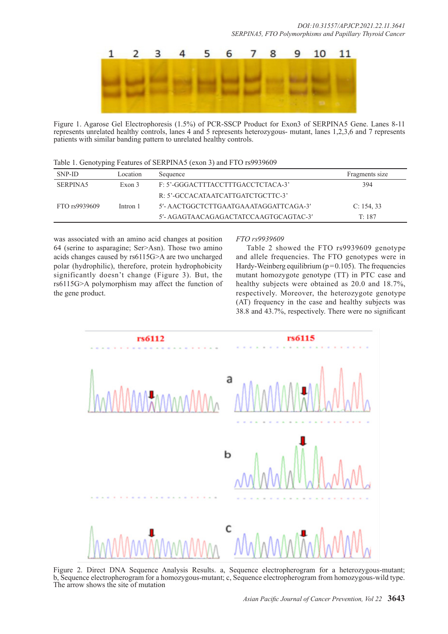

Figure 1. Agarose Gel Electrophoresis (1.5%) of PCR-SSCP Product for Exon3 of SERPINA5 Gene. Lanes 8-11 represents unrelated healthy controls, lanes 4 and 5 represents heterozygous- mutant, lanes 1,2,3,6 and 7 represents patients with similar banding pattern to unrelated healthy controls.

Table 1. Genotyping Features of SERPINA5 (exon 3) and FTO rs9939609

| SNP-ID        | Location | Sequence                              | Fragments size |
|---------------|----------|---------------------------------------|----------------|
| SERPINA5      | Exon 3   | F: 5'-GGGACTTTACCTTTGACCTCTACA-3'     | 394            |
|               |          | R: 5'-GCCACATAATCATTGATCTGCTTC-3'     |                |
| FTO rs9939609 | Intron 1 | 5'- AACTGGCTCTTGAATGAAATAGGATTCAGA-3' | C: 154, 33     |
|               |          | 5'- AGAGTAACAGAGACTATCCAAGTGCAGTAC-3' | T: 187         |

was associated with an amino acid changes at position 64 (serine to asparagine; Ser>Asn). Those two amino acids changes caused by rs6115G>A are two uncharged polar (hydrophilic), therefore, protein hydrophobicity significantly doesn't change (Figure 3). But, the rs6115G>A polymorphism may affect the function of the gene product.

#### *FTO rs9939609*

Table 2 showed the FTO rs9939609 genotype and allele frequencies. The FTO genotypes were in Hardy-Weinberg equilibrium ( $p=0.105$ ). The frequencies mutant homozygote genotype (TT) in PTC case and healthy subjects were obtained as 20.0 and 18.7%, respectively. Moreover, the heterozygote genotype (AT) frequency in the case and healthy subjects was 38.8 and 43.7%, respectively. There were no significant



Figure 2. Direct DNA Sequence Analysis Results. a, Sequence electropherogram for a heterozygous-mutant; b, Sequence electropherogram for a homozygous-mutant; c, Sequence electropherogram from homozygous-wild type. The arrow shows the site of mutation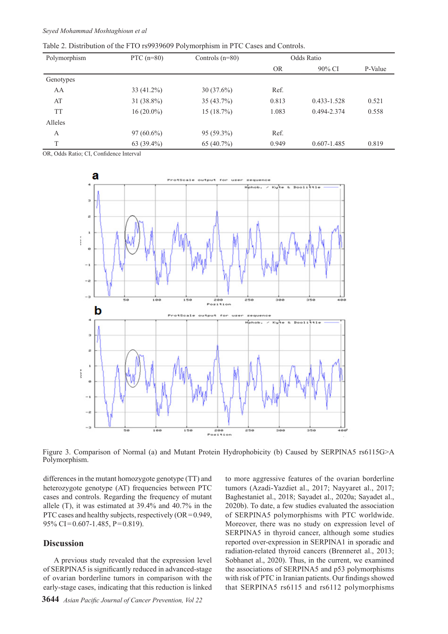Table 2. Distribution of the FTO rs9939609 Polymorphism in PTC Cases and Controls.

| Polymorphism | PTC $(n=80)$ | Controls $(n=80)$ | Odds Ratio |             |         |  |
|--------------|--------------|-------------------|------------|-------------|---------|--|
|              |              |                   | <b>OR</b>  | 90% CI      | P-Value |  |
| Genotypes    |              |                   |            |             |         |  |
| AA           | $33(41.2\%)$ | $30(37.6\%)$      | Ref.       |             |         |  |
| AT           | $31(38.8\%)$ | $35(43.7\%)$      | 0.813      | 0.433-1.528 | 0.521   |  |
| <b>TT</b>    | $16(20.0\%)$ | 15 (18.7%)        | 1.083      | 0.494-2.374 | 0.558   |  |
| Alleles      |              |                   |            |             |         |  |
| А            | $97(60.6\%)$ | $95(59.3\%)$      | Ref.       |             |         |  |
| T            | $63(39.4\%)$ | 65 $(40.7\%)$     | 0.949      | 0.607-1.485 | 0.819   |  |

OR, Odds Ratio; CI, Confidence Interval



Figure 3. Comparison of Normal (a) and Mutant Protein Hydrophobicity (b) Caused by SERPINA5 rs6115G>A Polymorphism.

differences in the mutant homozygote genotype (TT) and heterozygote genotype (AT) frequencies between PTC cases and controls. Regarding the frequency of mutant allele (T), it was estimated at 39.4% and 40.7% in the PTC cases and healthy subjects, respectively  $(OR=0.949,$ 95% CI=0.607-1.485, P=0.819).

# **Discussion**

A previous study revealed that the expression level of SERPINA5 is significantly reduced in advanced-stage of ovarian borderline tumors in comparison with the early-stage cases, indicating that this reduction is linked to more aggressive features of the ovarian borderline tumors (Azadi-Yazdiet al., 2017; Nayyaret al., 2017; Baghestaniet al., 2018; Sayadet al., 2020a; Sayadet al., 2020b). To date, a few studies evaluated the association of SERPINA5 polymorphisms with PTC worldwide. Moreover, there was no study on expression level of SERPINA5 in thyroid cancer, although some studies reported over-expression in SERPINA1 in sporadic and radiation-related thyroid cancers (Brenneret al., 2013; Sobhanet al., 2020). Thus, in the current, we examined the associations of SERPINA5 and p53 polymorphisms with risk of PTC in Iranian patients. Our findings showed that SERPINA5 rs6115 and rs6112 polymorphisms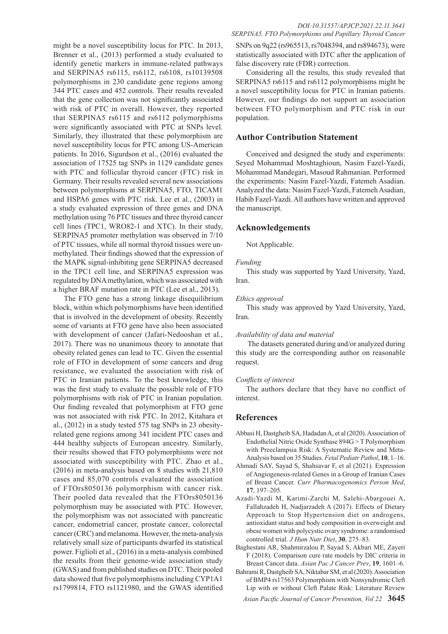might be a novel susceptibility locus for PTC. In 2013, Brenner et al., (2013) performed a study evaluated to identify genetic markers in immune-related pathways and SERPINA5 rs6115, rs6112, rs6108, rs10139508 polymorphisms in 230 candidate gene regions among 344 PTC cases and 452 controls. Their results revealed that the gene collection was not significantly associated with risk of PTC in overall. However, they reported that SERPINA5 rs6115 and rs6112 polymorphisms were significantly associated with PTC at SNPs level. Similarly, they illustrated that these polymorphism are novel susceptibility locus for PTC among US-American patients. In 2016, Sigurdson et al., (2016) evaluated the association of 17525 tag SNPs in 1129 candidate genes with PTC and follicular thyroid cancer (FTC) risk in Germany. Their results revealed several new associations between polymorphisms at SERPINA5, FTO, TICAM1 and HSPA6 genes with PTC risk. Lee et al., (2003) in a study evaluated expression of three genes and DNA methylation using 76 PTC tissues and three thyroid cancer cell lines (TPC1, WRO82-1 and XTC). In their study, SERPINA5 promoter methylation was observed in 7/10 of PTC tissues, while all normal thyroid tissues were unmethylated. Their findings showed that the expression of the MAPK signal-inhibiting gene SERPINA5 decreased in the TPC1 cell line, and SERPINA5 expression was regulated by DNA methylation, which was associated with a higher BRAF mutation rate in PTC (Lee et al., 2013).

The FTO gene has a strong linkage disequilibrium block, within which polymorphisms have been identified that is involved in the development of obesity. Recently some of variants at FTO gene have also been associated with development of cancer (Jafari-Nedooshan et al., 2017). There was no unanimous theory to annotate that obesity related genes can lead to TC. Given the essential role of FTO in development of some cancers and drug resistance, we evaluated the association with risk of PTC in Iranian patients. To the best knowledge, this was the first study to evaluate the possible role of FTO polymorphisms with risk of PTC in Iranian population. Our finding revealed that polymorphism at FTO gene was not associated with risk PTC. In 2012, Kitahara et al., (2012) in a study tested 575 tag SNPs in 23 obesityrelated gene regions among 341 incident PTC cases and 444 healthy subjects of European ancestry. Similarly, their results showed that FTO polymorphisms were not associated with susceptibility with PTC. Zhao et al., (2016) in meta-analysis based on 8 studies with 21,810 cases and 85,070 controls evaluated the association of FTOrs8050136 polymorphism with cancer risk. Their pooled data revealed that the FTOrs8050136 polymorphism may be associated with PTC. However, the polymorphism was not associated with pancreatic cancer, endometrial cancer, prostate cancer, colorectal cancer (CRC) and melanoma. However, the meta-analysis relatively small size of participants dwarfed its statistical power. Figlioli et al., (2016) in a meta-analysis combined the results from their genome-wide association study (GWAS) and from published studies on DTC. Their pooled data showed that five polymorphisms including CYP1A1 rs1799814, FTO rs1121980, and the GWAS identified

SNPs on 9q22 (rs965513, rs7048394, and rs894673), were statistically associated with DTC after the application of false discovery rate (FDR) correction.

Considering all the results, this study revealed that SERPINA5 rs6115 and rs6112 polymorphisms might be a novel susceptibility locus for PTC in Iranian patients. However, our findings do not support an association between FTO polymorphism and PTC risk in our population.

### **Author Contribution Statement**

Conceived and designed the study and experiments: Seyed Mohammad Moshtaghioun, Nasim Fazel-Yazdi, Mohammad Mandegari, Masoud Rahmanian. Performed the experiments: Nasim Fazel-Yazdi, Fatemeh Asadian. Analyzed the data: Nasim Fazel-Yazdi, Fatemeh Asadian, Habib Fazel-Yazdi. All authors have written and approved the manuscript.

### **Acknowledgements**

Not Applicable.

#### *Funding*

This study was supported by Yazd University, Yazd, Iran.

#### *Ethics approval*

This study was approved by Yazd University, Yazd, Iran.

#### *Availability of data and material*

 The datasets generated during and/or analyzed during this study are the corresponding author on reasonable request.

#### *Conflicts of interest*

The authors declare that they have no conflict of interest.

#### **References**

- Abbasi H, Dastgheib SA, Hadadan A, et al (2020). Association of Endothelial Nitric Oxide Synthase 894G > T Polymorphism with Preeclampsia Risk: A Systematic Review and Meta-Analysis based on 35 Studies. *Fetal Pediatr Pathol*, **10**, 1–16.
- Ahmadi SAY, Sayad S, Shahsavar F, et al (2021). Expression of Angiogenesis-related Genes in a Group of Iranian Cases of Breast Cancer. *Curr Pharmacogenomics Person Med*, **17**, 197–205.
- Azadi-Yazdi M, Karimi-Zarchi M, Salehi-Abargouei A, Fallahzadeh H, Nadjarzadeh A (2017). Effects of Dietary Approach to Stop Hypertension diet on androgens, antioxidant status and body composition in overweight and obese women with polycystic ovary syndrome: a randomised controlled trial. *J Hum Nutr Diet*, **30**, 275–83.
- Baghestani AR, Shahmirzalou P, Sayad S, Akbari ME, Zayeri F (2018). Comparison cure rate models by DIC criteria in Breast Cancer data. *Asian Pac J Cancer Prev*, **19**, 1601–6.
- Bahrami R, Dastgheib SA, Niktabar SM, et al (2020). Association of BMP4 rs17563 Polymorphism with Nonsyndromic Cleft Lip with or without Cleft Palate Risk: Literature Review

*Asian Pacific Journal of Cancer Prevention, Vol 22* **3645**